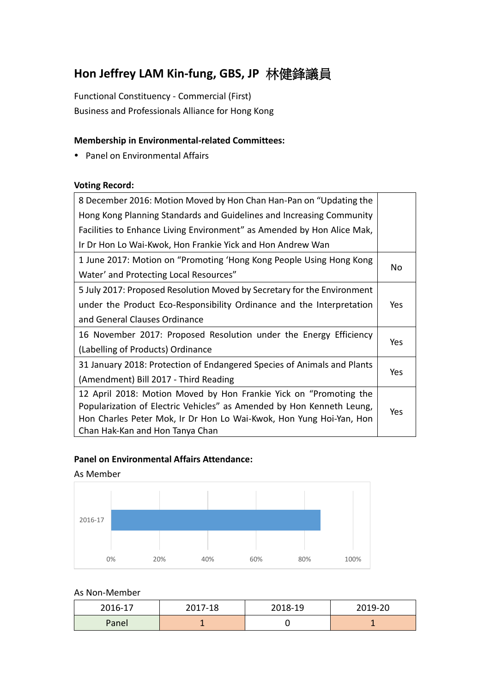# **Hon Jeffrey LAM Kin-fung, GBS, JP** 林健鋒議員

Functional Constituency - Commercial (First) Business and Professionals Alliance for Hong Kong

## **Membership in Environmental-related Committees:**

• Panel on Environmental Affairs

### **Voting Record:**

| 8 December 2016: Motion Moved by Hon Chan Han-Pan on "Updating the      |     |  |
|-------------------------------------------------------------------------|-----|--|
| Hong Kong Planning Standards and Guidelines and Increasing Community    |     |  |
| Facilities to Enhance Living Environment" as Amended by Hon Alice Mak,  |     |  |
| Ir Dr Hon Lo Wai-Kwok, Hon Frankie Yick and Hon Andrew Wan              |     |  |
| 1 June 2017: Motion on "Promoting 'Hong Kong People Using Hong Kong     |     |  |
| Water' and Protecting Local Resources"                                  | No  |  |
| 5 July 2017: Proposed Resolution Moved by Secretary for the Environment |     |  |
| under the Product Eco-Responsibility Ordinance and the Interpretation   | Yes |  |
| and General Clauses Ordinance                                           |     |  |
| 16 November 2017: Proposed Resolution under the Energy Efficiency       |     |  |
| (Labelling of Products) Ordinance                                       | Yes |  |
| 31 January 2018: Protection of Endangered Species of Animals and Plants |     |  |
| (Amendment) Bill 2017 - Third Reading                                   | Yes |  |
| 12 April 2018: Motion Moved by Hon Frankie Yick on "Promoting the       |     |  |
| Popularization of Electric Vehicles" as Amended by Hon Kenneth Leung,   | Yes |  |
| Hon Charles Peter Mok, Ir Dr Hon Lo Wai-Kwok, Hon Yung Hoi-Yan, Hon     |     |  |
| Chan Hak-Kan and Hon Tanya Chan                                         |     |  |

### **Panel on Environmental Affairs Attendance:**

#### As Member



#### As Non-Member

| 2016-17 | 2017-18 | 2018-19 | 2019-20 |
|---------|---------|---------|---------|
| Panel   |         |         |         |